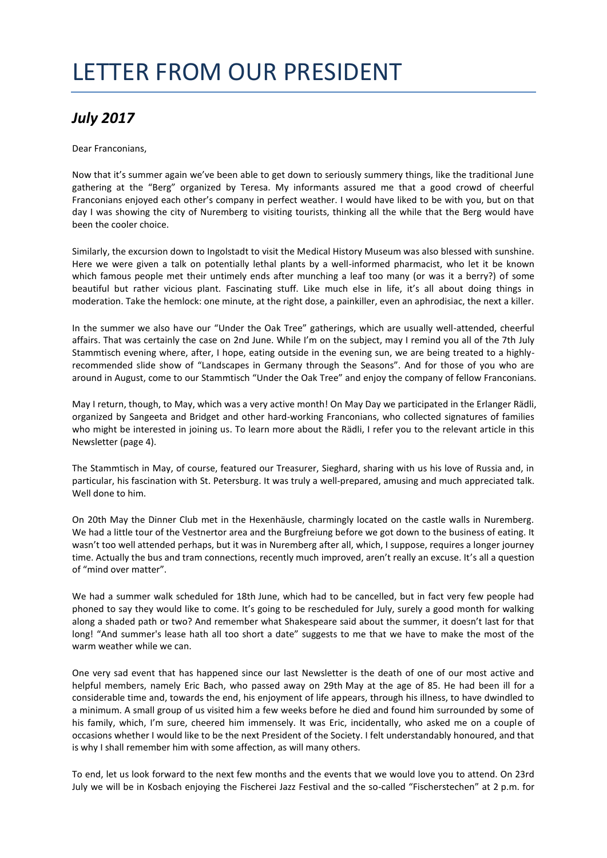## LETTER FROM OUR PRESIDENT

## *July 2017*

Dear Franconians,

Now that it's summer again we've been able to get down to seriously summery things, like the traditional June gathering at the "Berg" organized by Teresa. My informants assured me that a good crowd of cheerful Franconians enjoyed each other's company in perfect weather. I would have liked to be with you, but on that day I was showing the city of Nuremberg to visiting tourists, thinking all the while that the Berg would have been the cooler choice.

Similarly, the excursion down to Ingolstadt to visit the Medical History Museum was also blessed with sunshine. Here we were given a talk on potentially lethal plants by a well-informed pharmacist, who let it be known which famous people met their untimely ends after munching a leaf too many (or was it a berry?) of some beautiful but rather vicious plant. Fascinating stuff. Like much else in life, it's all about doing things in moderation. Take the hemlock: one minute, at the right dose, a painkiller, even an aphrodisiac, the next a killer.

In the summer we also have our "Under the Oak Tree" gatherings, which are usually well-attended, cheerful affairs. That was certainly the case on 2nd June. While I'm on the subject, may I remind you all of the 7th July Stammtisch evening where, after, I hope, eating outside in the evening sun, we are being treated to a highlyrecommended slide show of "Landscapes in Germany through the Seasons". And for those of you who are around in August, come to our Stammtisch "Under the Oak Tree" and enjoy the company of fellow Franconians.

May I return, though, to May, which was a very active month! On May Day we participated in the Erlanger Rädli, organized by Sangeeta and Bridget and other hard-working Franconians, who collected signatures of families who might be interested in joining us. To learn more about the Rädli, I refer you to the relevant article in this Newsletter (page 4).

The Stammtisch in May, of course, featured our Treasurer, Sieghard, sharing with us his love of Russia and, in particular, his fascination with St. Petersburg. It was truly a well-prepared, amusing and much appreciated talk. Well done to him.

On 20th May the Dinner Club met in the Hexenhäusle, charmingly located on the castle walls in Nuremberg. We had a little tour of the Vestnertor area and the Burgfreiung before we got down to the business of eating. It wasn't too well attended perhaps, but it was in Nuremberg after all, which, I suppose, requires a longer journey time. Actually the bus and tram connections, recently much improved, aren't really an excuse. It's all a question of "mind over matter".

We had a summer walk scheduled for 18th June, which had to be cancelled, but in fact very few people had phoned to say they would like to come. It's going to be rescheduled for July, surely a good month for walking along a shaded path or two? And remember what Shakespeare said about the summer, it doesn't last for that long! "And summer's lease hath all too short a date" suggests to me that we have to make the most of the warm weather while we can.

One very sad event that has happened since our last Newsletter is the death of one of our most active and helpful members, namely Eric Bach, who passed away on 29th May at the age of 85. He had been ill for a considerable time and, towards the end, his enjoyment of life appears, through his illness, to have dwindled to a minimum. A small group of us visited him a few weeks before he died and found him surrounded by some of his family, which, I'm sure, cheered him immensely. It was Eric, incidentally, who asked me on a couple of occasions whether I would like to be the next President of the Society. I felt understandably honoured, and that is why I shall remember him with some affection, as will many others.

To end, let us look forward to the next few months and the events that we would love you to attend. On 23rd July we will be in Kosbach enjoying the Fischerei Jazz Festival and the so-called "Fischerstechen" at 2 p.m. for